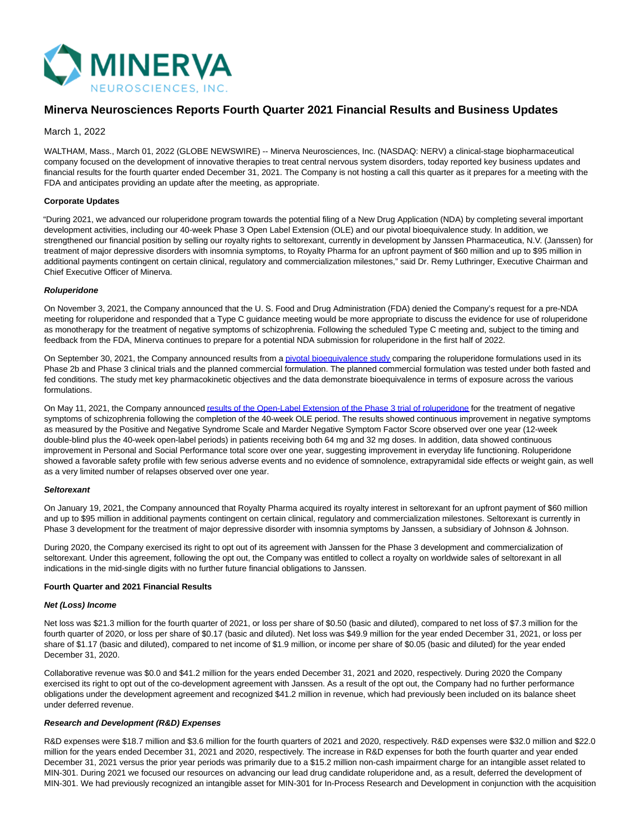

## **Minerva Neurosciences Reports Fourth Quarter 2021 Financial Results and Business Updates**

#### March 1, 2022

WALTHAM, Mass., March 01, 2022 (GLOBE NEWSWIRE) -- Minerva Neurosciences, Inc. (NASDAQ: NERV) a clinical-stage biopharmaceutical company focused on the development of innovative therapies to treat central nervous system disorders, today reported key business updates and financial results for the fourth quarter ended December 31, 2021. The Company is not hosting a call this quarter as it prepares for a meeting with the FDA and anticipates providing an update after the meeting, as appropriate.

#### **Corporate Updates**

"During 2021, we advanced our roluperidone program towards the potential filing of a New Drug Application (NDA) by completing several important development activities, including our 40-week Phase 3 Open Label Extension (OLE) and our pivotal bioequivalence study. In addition, we strengthened our financial position by selling our royalty rights to seltorexant, currently in development by Janssen Pharmaceutica, N.V. (Janssen) for treatment of major depressive disorders with insomnia symptoms, to Royalty Pharma for an upfront payment of \$60 million and up to \$95 million in additional payments contingent on certain clinical, regulatory and commercialization milestones," said Dr. Remy Luthringer, Executive Chairman and Chief Executive Officer of Minerva.

#### **Roluperidone**

On November 3, 2021, the Company announced that the U. S. Food and Drug Administration (FDA) denied the Company's request for a pre-NDA meeting for roluperidone and responded that a Type C guidance meeting would be more appropriate to discuss the evidence for use of roluperidone as monotherapy for the treatment of negative symptoms of schizophrenia. Following the scheduled Type C meeting and, subject to the timing and feedback from the FDA, Minerva continues to prepare for a potential NDA submission for roluperidone in the first half of 2022.

On September 30, 2021, the Company announced results from a *pivotal bioequivalence study* comparing the roluperidone formulations used in its Phase 2b and Phase 3 clinical trials and the planned commercial formulation. The planned commercial formulation was tested under both fasted and fed conditions. The study met key pharmacokinetic objectives and the data demonstrate bioequivalence in terms of exposure across the various formulations.

On May 11, 2021, the Company announce[d results of the Open-Label Extension of the Phase 3 trial of roluperidone f](https://www.globenewswire.com/Tracker?data=pFvsYqrfhz720XuM4x9Rr6cjO3WW3efVYgdOtA--dNWNND-mpBEFFATvj0_peiTdUHEvV896GcxLtQFfn7q_4BiERYqTHcf_uEwgV1lNzIDu7-t1hpbLwD8VXL2yLKxh2RIdmodwmnNHHkYpG1BvFWTqvBYCKYMQye8gCK1TVRUKQecum2UJTXvVvmPn9kWDkTwc1Zj6tnkfrImjYJRM9L8JYa-BmPqqzpR7Qr420_1eBaUh0sk4bE_Y2MvMrr_fKLNBk2s1dzkeAxkjIR-Ie4txF5eCyg2jN_rFpQ4Uykw=)or the treatment of negative symptoms of schizophrenia following the completion of the 40-week OLE period. The results showed continuous improvement in negative symptoms as measured by the Positive and Negative Syndrome Scale and Marder Negative Symptom Factor Score observed over one year (12-week double-blind plus the 40-week open-label periods) in patients receiving both 64 mg and 32 mg doses. In addition, data showed continuous improvement in Personal and Social Performance total score over one year, suggesting improvement in everyday life functioning. Roluperidone showed a favorable safety profile with few serious adverse events and no evidence of somnolence, extrapyramidal side effects or weight gain, as well as a very limited number of relapses observed over one year.

#### **Seltorexant**

On January 19, 2021, the Company announced that Royalty Pharma acquired its royalty interest in seltorexant for an upfront payment of \$60 million and up to \$95 million in additional payments contingent on certain clinical, regulatory and commercialization milestones. Seltorexant is currently in Phase 3 development for the treatment of major depressive disorder with insomnia symptoms by Janssen, a subsidiary of Johnson & Johnson.

During 2020, the Company exercised its right to opt out of its agreement with Janssen for the Phase 3 development and commercialization of seltorexant. Under this agreement, following the opt out, the Company was entitled to collect a royalty on worldwide sales of seltorexant in all indications in the mid-single digits with no further future financial obligations to Janssen.

#### **Fourth Quarter and 2021 Financial Results**

#### **Net (Loss) Income**

Net loss was \$21.3 million for the fourth quarter of 2021, or loss per share of \$0.50 (basic and diluted), compared to net loss of \$7.3 million for the fourth quarter of 2020, or loss per share of \$0.17 (basic and diluted). Net loss was \$49.9 million for the year ended December 31, 2021, or loss per share of \$1.17 (basic and diluted), compared to net income of \$1.9 million, or income per share of \$0.05 (basic and diluted) for the year ended December 31, 2020.

Collaborative revenue was \$0.0 and \$41.2 million for the years ended December 31, 2021 and 2020, respectively. During 2020 the Company exercised its right to opt out of the co-development agreement with Janssen. As a result of the opt out, the Company had no further performance obligations under the development agreement and recognized \$41.2 million in revenue, which had previously been included on its balance sheet under deferred revenue.

#### **Research and Development (R&D) Expenses**

R&D expenses were \$18.7 million and \$3.6 million for the fourth quarters of 2021 and 2020, respectively. R&D expenses were \$32.0 million and \$22.0 million for the years ended December 31, 2021 and 2020, respectively. The increase in R&D expenses for both the fourth quarter and year ended December 31, 2021 versus the prior year periods was primarily due to a \$15.2 million non-cash impairment charge for an intangible asset related to MIN-301. During 2021 we focused our resources on advancing our lead drug candidate roluperidone and, as a result, deferred the development of MIN-301. We had previously recognized an intangible asset for MIN-301 for In-Process Research and Development in conjunction with the acquisition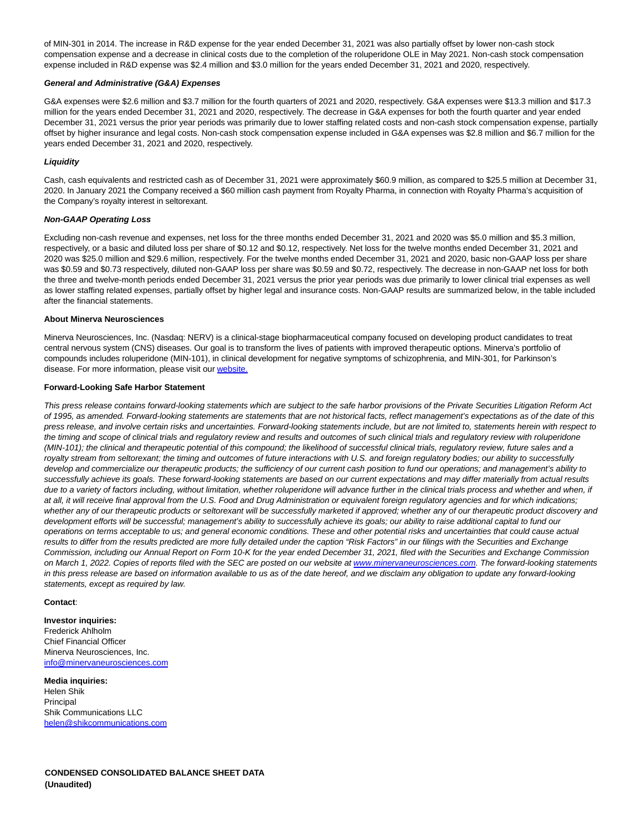of MIN-301 in 2014. The increase in R&D expense for the year ended December 31, 2021 was also partially offset by lower non-cash stock compensation expense and a decrease in clinical costs due to the completion of the roluperidone OLE in May 2021. Non-cash stock compensation expense included in R&D expense was \$2.4 million and \$3.0 million for the years ended December 31, 2021 and 2020, respectively.

#### **General and Administrative (G&A) Expenses**

G&A expenses were \$2.6 million and \$3.7 million for the fourth quarters of 2021 and 2020, respectively. G&A expenses were \$13.3 million and \$17.3 million for the years ended December 31, 2021 and 2020, respectively. The decrease in G&A expenses for both the fourth quarter and year ended December 31, 2021 versus the prior year periods was primarily due to lower staffing related costs and non-cash stock compensation expense, partially offset by higher insurance and legal costs. Non-cash stock compensation expense included in G&A expenses was \$2.8 million and \$6.7 million for the years ended December 31, 2021 and 2020, respectively.

#### **Liquidity**

Cash, cash equivalents and restricted cash as of December 31, 2021 were approximately \$60.9 million, as compared to \$25.5 million at December 31, 2020. In January 2021 the Company received a \$60 million cash payment from Royalty Pharma, in connection with Royalty Pharma's acquisition of the Company's royalty interest in seltorexant.

#### **Non-GAAP Operating Loss**

Excluding non-cash revenue and expenses, net loss for the three months ended December 31, 2021 and 2020 was \$5.0 million and \$5.3 million, respectively, or a basic and diluted loss per share of \$0.12 and \$0.12, respectively. Net loss for the twelve months ended December 31, 2021 and 2020 was \$25.0 million and \$29.6 million, respectively. For the twelve months ended December 31, 2021 and 2020, basic non-GAAP loss per share was \$0.59 and \$0.73 respectively, diluted non-GAAP loss per share was \$0.59 and \$0.72, respectively. The decrease in non-GAAP net loss for both the three and twelve-month periods ended December 31, 2021 versus the prior year periods was due primarily to lower clinical trial expenses as well as lower staffing related expenses, partially offset by higher legal and insurance costs. Non-GAAP results are summarized below, in the table included after the financial statements.

#### **About Minerva Neurosciences**

Minerva Neurosciences, Inc. (Nasdaq: NERV) is a clinical-stage biopharmaceutical company focused on developing product candidates to treat central nervous system (CNS) diseases. Our goal is to transform the lives of patients with improved therapeutic options. Minerva's portfolio of compounds includes roluperidone (MIN-101), in clinical development for negative symptoms of schizophrenia, and MIN-301, for Parkinson's disease. For more information, please visit our [website.](https://www.globenewswire.com/Tracker?data=WX5qKMOJyP8SSfxNyWbUXX4UJ0WmOx5VUtovMUy8e3UrqQdmv8K7Oe08Sc0-bLxWlzeiQDGboiMxsuiQsmNEOkuXaxmWWnrNLX3xmOMjHuY=)

#### **Forward-Looking Safe Harbor Statement**

This press release contains forward-looking statements which are subject to the safe harbor provisions of the Private Securities Litigation Reform Act of 1995, as amended. Forward-looking statements are statements that are not historical facts, reflect management's expectations as of the date of this press release, and involve certain risks and uncertainties. Forward-looking statements include, but are not limited to, statements herein with respect to the timing and scope of clinical trials and regulatory review and results and outcomes of such clinical trials and regulatory review with roluperidone (MIN-101); the clinical and therapeutic potential of this compound; the likelihood of successful clinical trials, regulatory review, future sales and a royalty stream from seltorexant; the timing and outcomes of future interactions with U.S. and foreign regulatory bodies; our ability to successfully develop and commercialize our therapeutic products; the sufficiency of our current cash position to fund our operations; and management's ability to successfully achieve its goals. These forward-looking statements are based on our current expectations and may differ materially from actual results due to a variety of factors including, without limitation, whether roluperidone will advance further in the clinical trials process and whether and when, if at all, it will receive final approval from the U.S. Food and Drug Administration or equivalent foreign regulatory agencies and for which indications; whether any of our therapeutic products or seltorexant will be successfully marketed if approved; whether any of our therapeutic product discovery and development efforts will be successful; management's ability to successfully achieve its goals; our ability to raise additional capital to fund our operations on terms acceptable to us; and general economic conditions. These and other potential risks and uncertainties that could cause actual results to differ from the results predicted are more fully detailed under the caption "Risk Factors" in our filings with the Securities and Exchange Commission, including our Annual Report on Form 10-K for the year ended December 31, 2021, filed with the Securities and Exchange Commission on March 1, 2022. Copies of reports filed with the SEC are posted on our website at [www.minervaneurosciences.com.](https://www.globenewswire.com/Tracker?data=8lqH-uWomR6h-ewqJUuzySK3VepQAIGU8ljBBISCWB-GGp8UWM7ftK0gygK0lkq7Lf80aSYtviXELap_JAZet7319YEeoFLglRXcWgCCY5icxRy7gxpZkT-qk5no6VTL) The forward-looking statements in this press release are based on information available to us as of the date hereof, and we disclaim any obligation to update any forward-looking statements, except as required by law.

#### **Contact**:

**Investor inquiries:** Frederick Ahlholm Chief Financial Officer Minerva Neurosciences, Inc. [info@minervaneurosciences.com](https://www.globenewswire.com/Tracker?data=EUjwEPQe9gElcuxv8_uYBDRPbZF-zCsfAlWlG33_iMt-xP_oilIsqajzeZsahzkwKEB_TyE_dYHVp7sew_myfl8xTmdLImRauNyVPCs-S8yiN-caZlPiC5Tj1e56-4ac)

**Media inquiries:** Helen Shik **Principal** Shik Communications LLC [helen@shikcommunications.com](https://www.globenewswire.com/Tracker?data=yhcwqPE_tN8EOVOb2ihvygCCTbOEdL33ns42-YCi1gdchpCqzTu_wjKu_thWdnZUjTxUrTQUyVIN1uT627PZKwPoC6erJfbQZqJrAEo1jsXwAMrxeJ4mi_fJX1HU0See)

**CONDENSED CONSOLIDATED BALANCE SHEET DATA (Unaudited)**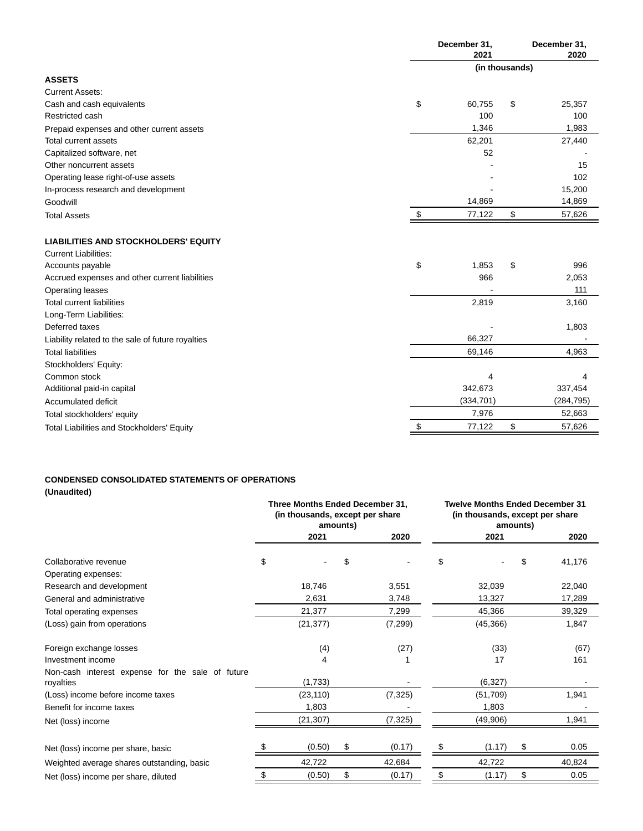|                                                   |    | December 31,<br>2021 | December 31,<br>2020 |            |  |
|---------------------------------------------------|----|----------------------|----------------------|------------|--|
|                                                   |    | (in thousands)       |                      |            |  |
| <b>ASSETS</b>                                     |    |                      |                      |            |  |
| <b>Current Assets:</b>                            |    |                      |                      |            |  |
| Cash and cash equivalents                         | \$ | 60,755               | \$                   | 25,357     |  |
| Restricted cash                                   |    | 100                  |                      | 100        |  |
| Prepaid expenses and other current assets         |    | 1,346                |                      | 1,983      |  |
| Total current assets                              |    | 62,201               |                      | 27,440     |  |
| Capitalized software, net                         |    | 52                   |                      |            |  |
| Other noncurrent assets                           |    |                      |                      | 15         |  |
| Operating lease right-of-use assets               |    |                      |                      | 102        |  |
| In-process research and development               |    |                      |                      | 15,200     |  |
| Goodwill                                          |    | 14,869               |                      | 14,869     |  |
| <b>Total Assets</b>                               | S  | 77,122               | \$                   | 57,626     |  |
| <b>LIABILITIES AND STOCKHOLDERS' EQUITY</b>       |    |                      |                      |            |  |
| <b>Current Liabilities:</b>                       |    |                      |                      |            |  |
| Accounts payable                                  | \$ | 1,853                | \$                   | 996        |  |
| Accrued expenses and other current liabilities    |    | 966                  |                      | 2,053      |  |
| Operating leases                                  |    |                      |                      | 111        |  |
| <b>Total current liabilities</b>                  |    | 2,819                |                      | 3,160      |  |
| Long-Term Liabilities:                            |    |                      |                      |            |  |
| Deferred taxes                                    |    |                      |                      | 1,803      |  |
| Liability related to the sale of future royalties |    | 66,327               |                      |            |  |
| <b>Total liabilities</b>                          |    | 69,146               |                      | 4,963      |  |
| Stockholders' Equity:                             |    |                      |                      |            |  |
| Common stock                                      |    | 4                    |                      | 4          |  |
| Additional paid-in capital                        |    | 342,673              |                      | 337,454    |  |
| Accumulated deficit                               |    | (334, 701)           |                      | (284, 795) |  |
| Total stockholders' equity                        |    | 7,976                |                      | 52,663     |  |
| Total Liabilities and Stockholders' Equity        | \$ | 77,122               | \$                   | 57,626     |  |

# **CONDENSED CONSOLIDATED STATEMENTS OF OPERATIONS**

**(Unaudited)**

|                                                  | Three Months Ended December 31,<br>(in thousands, except per share<br>amounts) |           |    | <b>Twelve Months Ended December 31</b><br>(in thousands, except per share<br>amounts) |    |           |    |        |
|--------------------------------------------------|--------------------------------------------------------------------------------|-----------|----|---------------------------------------------------------------------------------------|----|-----------|----|--------|
|                                                  |                                                                                | 2021      |    | 2020                                                                                  |    | 2021      |    | 2020   |
| Collaborative revenue                            | \$                                                                             |           | S  |                                                                                       | \$ |           | \$ | 41,176 |
| Operating expenses:                              |                                                                                |           |    |                                                                                       |    |           |    |        |
| Research and development                         |                                                                                | 18,746    |    | 3,551                                                                                 |    | 32,039    |    | 22,040 |
| General and administrative                       |                                                                                | 2,631     |    | 3,748                                                                                 |    | 13,327    |    | 17,289 |
| Total operating expenses                         |                                                                                | 21,377    |    | 7,299                                                                                 |    | 45,366    |    | 39,329 |
| (Loss) gain from operations                      |                                                                                | (21, 377) |    | (7,299)                                                                               |    | (45, 366) |    | 1,847  |
| Foreign exchange losses                          |                                                                                | (4)       |    | (27)                                                                                  |    | (33)      |    | (67)   |
| Investment income                                |                                                                                | 4         |    |                                                                                       |    | 17        |    | 161    |
| Non-cash interest expense for the sale of future |                                                                                |           |    |                                                                                       |    |           |    |        |
| royalties                                        |                                                                                | (1,733)   |    |                                                                                       |    | (6,327)   |    |        |
| (Loss) income before income taxes                |                                                                                | (23, 110) |    | (7, 325)                                                                              |    | (51, 709) |    | 1,941  |
| Benefit for income taxes                         |                                                                                | 1,803     |    |                                                                                       |    | 1,803     |    |        |
| Net (loss) income                                |                                                                                | (21, 307) |    | (7, 325)                                                                              |    | (49,906)  |    | 1,941  |
| Net (loss) income per share, basic               |                                                                                | (0.50)    |    | (0.17)                                                                                |    | (1.17)    |    | 0.05   |
| Weighted average shares outstanding, basic       |                                                                                | 42,722    |    | 42,684                                                                                |    | 42,722    |    | 40,824 |
| Net (loss) income per share, diluted             | \$                                                                             | (0.50)    | \$ | (0.17)                                                                                | \$ | (1.17)    | \$ | 0.05   |